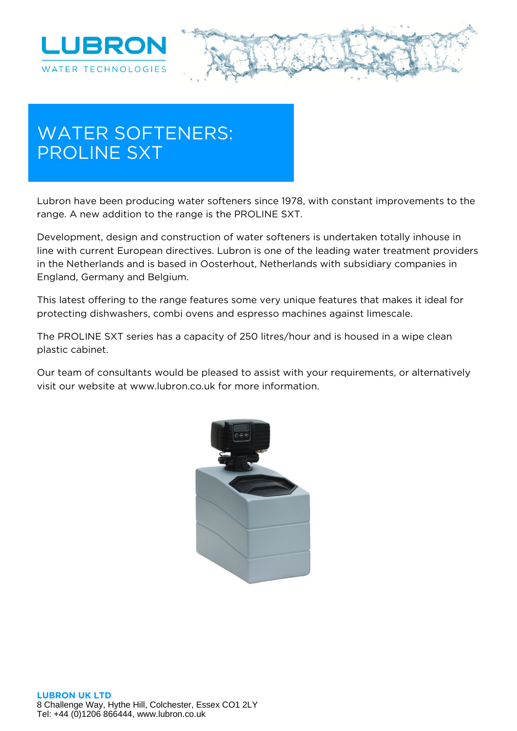



# **WATER SOFTENERS: PROLINE SXT**

Lubron have been producing water softeners since 1978, with constant improvements to the range. A new addition to the range is the PROLINE SXT.

Development, design and construction of water softeners is undertaken totally inhouse in line with current European directives. Lubron is one of the leading water treatment providers in the Netherlands and is based in Oosterhout, Netherlands with subsidiary companies in England, Germany and Belgium.

This latest offering to the range features some very unique features that makes it ideal for protecting dishwashers, combi ovens and espresso machines against limescale.

The PROLINE SXT series has a capacity of 250 litres/hour and is housed in a wipe clean plastic cabinet.

Our team of consultants would be pleased to assist with your requirements, or alternatively visit our website at www.lubron.co.uk for more information.